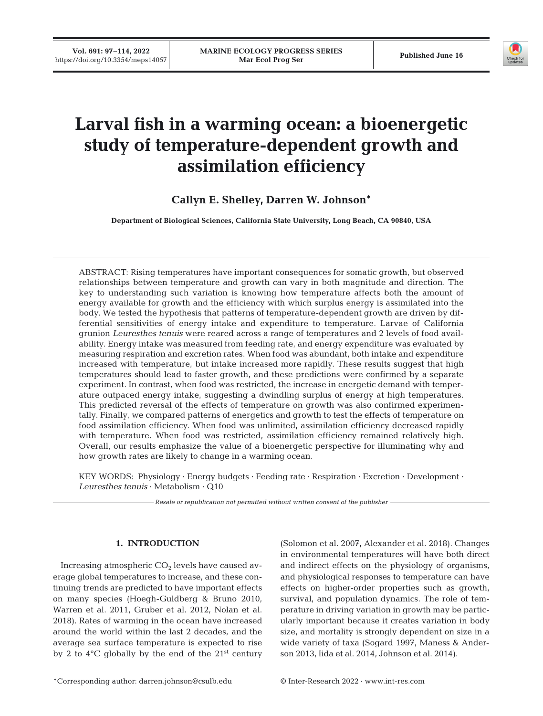**Vol. 691: 97–114, 2022** 



# **Larval fish in a warming ocean: a bioenergetic study of temperature-dependent growth and assimilation efficiency**

**Callyn E. Shelley, Darren W. Johnson\***

**Department of Biological Sciences, California State University, Long Beach, CA 90840, USA**

ABSTRACT: Rising temperatures have important consequences for somatic growth, but observed relationships between temperature and growth can vary in both magnitude and direction. The key to understanding such variation is knowing how temperature affects both the amount of energy available for growth and the efficiency with which surplus energy is assimilated into the body. We tested the hypothesis that patterns of temperature-dependent growth are driven by differential sensitivities of energy intake and expenditure to temperature. Larvae of California grunion *Leuresthes tenuis* were reared across a range of temperatures and 2 levels of food availability. Energy intake was measured from feeding rate, and energy expenditure was evaluated by measuring respiration and excretion rates. When food was abundant, both intake and expenditure increased with temperature, but intake increased more rapidly. These results suggest that high temperatures should lead to faster growth, and these predictions were confirmed by a separate experiment. In contrast, when food was restricted, the increase in energetic demand with temperature outpaced energy intake, suggesting a dwindling surplus of energy at high temperatures. This predicted reversal of the effects of temperature on growth was also confirmed experimentally. Finally, we compared patterns of energetics and growth to test the effects of temperature on food assimilation efficiency. When food was unlimited, assimilation efficiency decreased rapidly with temperature. When food was restricted, assimilation efficiency remained relatively high. Overall, our results emphasize the value of a bioenergetic perspective for illuminating why and how growth rates are likely to change in a warming ocean.

KEY WORDS: Physiology · Energy budgets · Feeding rate · Respiration · Excretion · Development · *Leuresthes tenuis* · Metabolism · Q10

*Resale or republication not permitted without written consent of the publisher*

# **1. INTRODUCTION**

Increasing atmospheric  $CO<sub>2</sub>$  levels have caused average global temperatures to increase, and these continuing trends are predicted to have important effects on many species (Hoegh-Guldberg & Bruno 2010, Warren et al. 2011, Gruber et al. 2012, Nolan et al. 2018). Rates of warming in the ocean have increased around the world within the last 2 decades, and the average sea surface temperature is expected to rise by 2 to  $4^{\circ}$ C globally by the end of the  $21^{\text{st}}$  century (Solomon et al. 2007, Alexander et al. 2018). Changes in environmental temperatures will have both direct and indirect effects on the physiology of organisms, and physiological responses to temperature can have effects on higher-order properties such as growth, survival, and population dynamics. The role of temperature in driving variation in growth may be particularly important because it creates variation in body size, and mortality is strongly dependent on size in a wide variety of taxa (Sogard 1997, Maness & Anderson 2013, Iida et al. 2014, Johnson et al. 2014).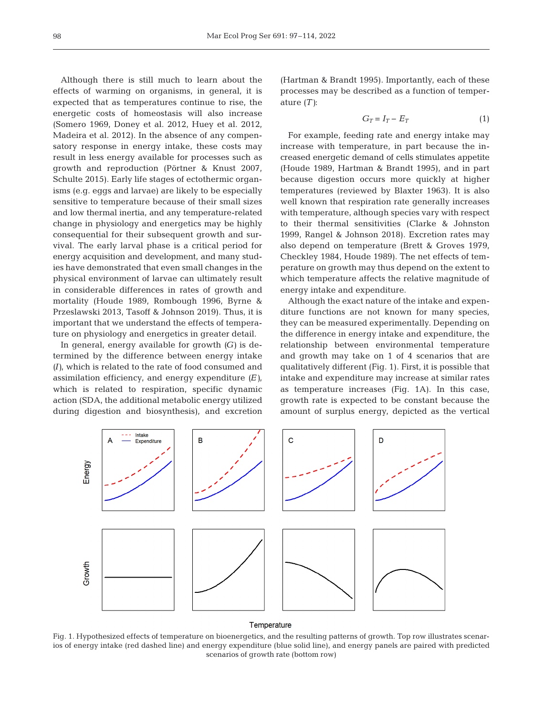Although there is still much to learn about the effects of warming on organisms, in general, it is expected that as temperatures continue to rise, the energetic costs of homeostasis will also increase (Somero 1969, Doney et al. 2012, Huey et al. 2012, Madeira et al. 2012). In the absence of any compensatory response in energy intake, these costs may result in less energy available for processes such as growth and reproduction (Pörtner & Knust 2007, Schulte 2015). Early life stages of ectothermic organisms (e.g. eggs and larvae) are likely to be especially sensitive to temperature because of their small sizes and low thermal inertia, and any temperature-related change in physiology and energetics may be highly consequential for their subsequent growth and survival. The early larval phase is a critical period for energy acquisition and development, and many studies have demonstrated that even small changes in the physical environment of larvae can ultimately result in considerable differences in rates of growth and mortality (Houde 1989, Rombough 1996, Byrne & Przeslawski 2013, Tasoff & Johnson 2019). Thus, it is important that we understand the effects of temperature on physiology and energetics in greater detail.

In general, energy available for growth  $(G)$  is determined by the difference between energy intake *(I)*, which is related to the rate of food consumed and assimilation efficiency, and energy expenditure *(E)*, which is related to respiration, specific dynamic action (SDA, the additional metabolic energy utilized during digestion and biosynthesis), and excretion (Hartman & Brandt 1995). Importantly, each of these processes may be described as a function of temperature *(T)*:

$$
G_T = I_T - E_T \tag{1}
$$

For example, feeding rate and energy intake may increase with temperature, in part because the increased energetic demand of cells stimulates appetite (Houde 1989, Hartman & Brandt 1995), and in part because digestion occurs more quickly at higher temperatures (reviewed by Blaxter 1963). It is also well known that respiration rate generally increases with temperature, although species vary with respect to their thermal sensitivities (Clarke & Johnston 1999, Rangel & Johnson 2018). Excretion rates may also depend on temperature (Brett & Groves 1979, Checkley 1984, Houde 1989). The net effects of temperature on growth may thus depend on the extent to which temperature affects the relative magnitude of energy intake and expenditure.

Although the exact nature of the intake and expenditure functions are not known for many species, they can be measured experimentally. Depending on the difference in energy intake and expenditure, the relationship between environmental temperature and growth may take on 1 of 4 scenarios that are qualitatively different (Fig. 1). First, it is possible that intake and expenditure may increase at similar rates as temperature increases (Fig. 1A). In this case, growth rate is expected to be constant because the amount of surplus energy, depicted as the vertical



#### Temperature

Fig. 1. Hypothesized effects of temperature on bioenergetics, and the resulting patterns of growth. Top row illustrates scenarios of energy intake (red dashed line) and energy expenditure (blue solid line), and energy panels are paired with predicted scenarios of growth rate (bottom row)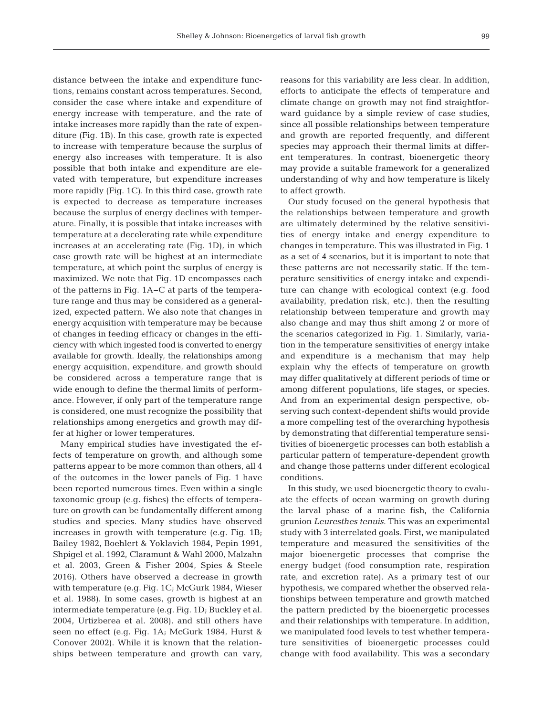distance between the intake and expenditure functions, remains constant across temperatures. Second, consider the case where intake and expenditure of energy increase with temperature, and the rate of intake increases more rapidly than the rate of expenditure (Fig. 1B). In this case, growth rate is expected to increase with temperature because the surplus of energy also increases with temperature. It is also possible that both intake and expenditure are elevated with temperature, but expenditure increases more rapidly (Fig. 1C). In this third case, growth rate is expected to decrease as temperature increases because the surplus of energy declines with temperature. Finally, it is possible that intake increases with temperature at a decelerating rate while expenditure increases at an accelerating rate (Fig. 1D), in which case growth rate will be highest at an intermediate temperature, at which point the surplus of energy is maximized. We note that Fig. 1D encompasses each of the patterns in Fig. 1A−C at parts of the temperature range and thus may be considered as a generalized, expected pattern. We also note that changes in energy acquisition with temperature may be because of changes in feeding efficacy or changes in the efficiency with which ingested food is converted to energy available for growth. Ideally, the relationships among energy acquisition, expenditure, and growth should be considered across a temperature range that is wide enough to define the thermal limits of performance. However, if only part of the temperature range is considered, one must recognize the possibility that relationships among energetics and growth may differ at higher or lower temperatures.

Many empirical studies have investigated the ef fects of temperature on growth, and although some patterns appear to be more common than others, all 4 of the outcomes in the lower panels of Fig. 1 have been reported numerous times. Even within a single taxonomic group (e.g. fishes) the effects of temperature on growth can be fundamentally different among studies and species. Many studies have observed increases in growth with temperature (e.g. Fig. 1B; Bailey 1982, Boehlert & Yoklavich 1984, Pepin 1991, Shpigel et al. 1992, Claramunt & Wahl 2000, Malzahn et al. 2003, Green & Fisher 2004, Spies & Steele 2016). Others have observed a decrease in growth with temperature (e.g. Fig. 1C; McGurk 1984, Wieser et al. 1988). In some cases, growth is highest at an intermediate temperature (e.g. Fig. 1D; Buckley et al. 2004, Urtizberea et al. 2008), and still others have seen no effect (e.g. Fig. 1A; McGurk 1984, Hurst & Conover 2002). While it is known that the relationships between temperature and growth can vary,

reasons for this variability are less clear. In addition, efforts to anticipate the effects of temperature and climate change on growth may not find straightforward guidance by a simple review of case studies, since all possible relationships between temperature and growth are reported frequently, and different species may approach their thermal limits at different temperatures. In contrast, bioenergetic theory may provide a suitable framework for a generalized understanding of why and how temperature is likely to affect growth.

Our study focused on the general hypothesis that the relationships between temperature and growth are ultimately determined by the relative sensitivities of energy intake and energy expenditure to changes in temperature. This was illustrated in Fig. 1 as a set of 4 scenarios, but it is important to note that these patterns are not necessarily static. If the temperature sensitivities of energy intake and expenditure can change with ecological context (e.g. food availability, predation risk, etc.), then the resulting relationship between temperature and growth may also change and may thus shift among 2 or more of the scenarios categorized in Fig. 1. Similarly, variation in the temperature sensitivities of energy intake and expenditure is a mechanism that may help explain why the effects of temperature on growth may differ qualitatively at different periods of time or among different populations, life stages, or species. And from an experimental design perspective, observing such context-dependent shifts would provide a more compelling test of the overarching hypothesis by demonstrating that differential temperature sensitivities of bioenergetic processes can both establish a particular pattern of temperature-dependent growth and change those patterns under different ecological conditions.

In this study, we used bioenergetic theory to evaluate the effects of ocean warming on growth during the larval phase of a marine fish, the California grunion *Leuresthes tenuis*. This was an experimental study with 3 interrelated goals. First, we manipulated temperature and measured the sensitivities of the major bioenergetic processes that comprise the energy budget (food consumption rate, respiration rate, and excretion rate). As a primary test of our hypothesis, we compared whether the observed relationships between temperature and growth matched the pattern predicted by the bioenergetic processes and their relationships with temperature. In addition, we manipulated food levels to test whether temperature sensitivities of bioenergetic processes could change with food availability. This was a secondary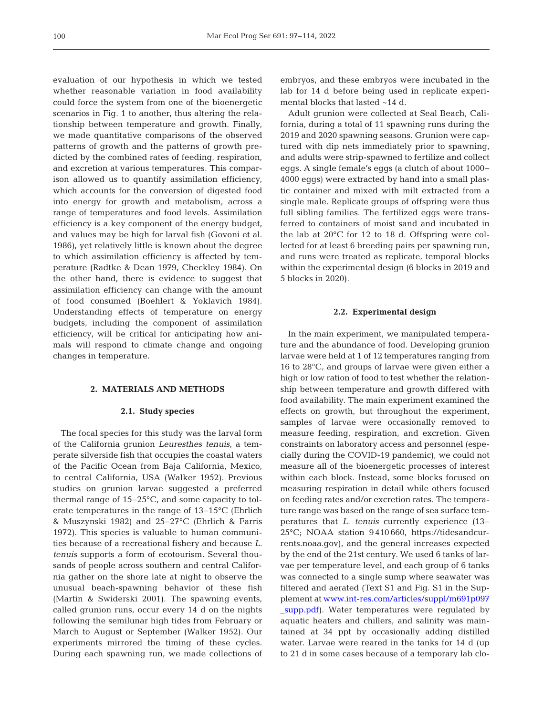evaluation of our hypothesis in which we tested whether reasonable variation in food availability could force the system from one of the bioenergetic scenarios in Fig. 1 to another, thus altering the relationship between temperature and growth. Finally, we made quantitative comparisons of the observed patterns of growth and the patterns of growth predicted by the combined rates of feeding, respiration, and excretion at various temperatures. This comparison allowed us to quantify assimilation efficiency, which accounts for the conversion of digested food into energy for growth and metabolism, across a range of temperatures and food levels. Assimilation efficiency is a key component of the energy budget, and values may be high for larval fish (Govoni et al. 1986), yet relatively little is known about the degree to which assimilation efficiency is affected by temperature (Radtke & Dean 1979, Checkley 1984). On the other hand, there is evidence to suggest that assimilation efficiency can change with the amount of food consumed (Boehlert & Yoklavich 1984). Understanding effects of temperature on energy budgets, including the component of assimilation efficiency, will be critical for anticipating how animals will respond to climate change and ongoing changes in temperature.

#### **2. MATERIALS AND METHODS**

## **2.1. Study species**

The focal species for this study was the larval form of the California grunion *Leuresthes tenuis*, a temperate silverside fish that occupies the coastal waters of the Pacific Ocean from Baja California, Mexico, to central California, USA (Walker 1952). Previous studies on grunion larvae suggested a preferred thermal range of 15−25°C, and some capacity to tolerate temperatures in the range of 13−15°C (Ehrlich & Muszynski 1982) and 25−27°C (Ehrlich & Farris 1972). This species is valuable to human communities because of a recreational fishery and because *L. tenuis* supports a form of ecotourism. Several thousands of people across southern and central California gather on the shore late at night to observe the unusual beach-spawning behavior of these fish (Martin & Swiderski 2001). The spawning events, called grunion runs, occur every 14 d on the nights following the semilunar high tides from February or March to August or September (Walker 1952). Our experiments mirrored the timing of these cycles. During each spawning run, we made collections of embryos, and these embryos were incubated in the lab for 14 d before being used in replicate experimental blocks that lasted ~14 d.

Adult grunion were collected at Seal Beach, California, during a total of 11 spawning runs during the 2019 and 2020 spawning seasons. Grunion were captured with dip nets immediately prior to spawning, and adults were strip-spawned to fertilize and collect eggs. A single female's eggs (a clutch of about 1000− 4000 eggs) were extracted by hand into a small plastic container and mixed with milt extracted from a single male. Replicate groups of offspring were thus full sibling families. The fertilized eggs were transferred to containers of moist sand and incubated in the lab at 20°C for 12 to 18 d. Offspring were collected for at least 6 breeding pairs per spawning run, and runs were treated as replicate, temporal blocks within the experimental design (6 blocks in 2019 and 5 blocks in 2020).

#### **2.2. Experimental design**

In the main experiment, we manipulated temperature and the abundance of food. Developing grunion larvae were held at 1 of 12 temperatures ranging from 16 to 28°C, and groups of larvae were given either a high or low ration of food to test whether the relationship between temperature and growth differed with food availability. The main experiment examined the effects on growth, but throughout the experiment, samples of larvae were occasionally removed to measure feeding, respiration, and excretion. Given constraints on laboratory access and personnel (especially during the COVID-19 pandemic), we could not measure all of the bioenergetic processes of interest within each block. Instead, some blocks focused on measuring respiration in detail while others focused on feeding rates and/or excretion rates. The temperature range was based on the range of sea surface temperatures that *L. tenuis* currently experience (13− 25°C; NOAA station 9 410 660, https://tidesandcurrents.noaa.gov), and the general increases expected by the end of the 21st century. We used 6 tanks of larvae per temperature level, and each group of 6 tanks was connected to a single sump where seawater was filtered and aerated (Text S1 and Fig. S1 in the Supplement a[t www.int-res.com/articles/suppl/m691p097](https://www.int-res.com/articles/suppl/m691p097_supp.pdf) [\\_supp.pdf\)](https://www.int-res.com/articles/suppl/m691p097_supp.pdf). Water temperatures were regulated by aquatic heaters and chillers, and salinity was maintained at 34 ppt by occasionally adding distilled water. Larvae were reared in the tanks for 14 d (up to 21 d in some cases because of a temporary lab clo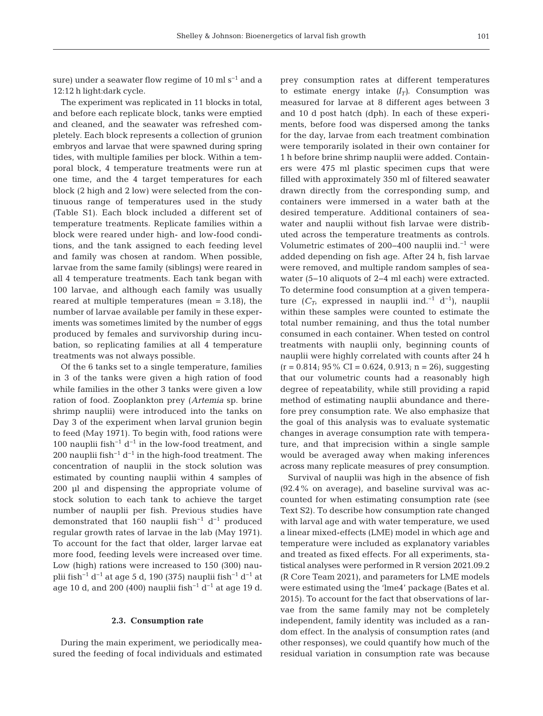sure) under a seawater flow regime of 10 ml s<sup> $-1$ </sup> and a 12:12 h light:dark cycle.

The experiment was replicated in 11 blocks in total, and before each replicate block, tanks were emptied and cleaned, and the seawater was refreshed completely. Each block represents a collection of grunion embryos and larvae that were spawned during spring tides, with multiple families per block. Within a temporal block, 4 temperature treatments were run at one time, and the 4 target temperatures for each block (2 high and 2 low) were selected from the continuous range of temperatures used in the study (Table S1). Each block included a different set of temperature treatments. Replicate families within a block were reared under high- and low-food conditions, and the tank assigned to each feeding level and family was chosen at random. When possible, larvae from the same family (siblings) were reared in all 4 temperature treatments. Each tank began with 100 larvae, and although each family was usually reared at multiple temperatures (mean = 3.18), the number of larvae available per family in these experiments was sometimes limited by the number of eggs produced by females and survivorship during incubation, so replicating families at all 4 temperature treatments was not always possible.

Of the 6 tanks set to a single temperature, families in 3 of the tanks were given a high ration of food while families in the other 3 tanks were given a low ration of food. Zooplankton prey (*Artemia* sp. brine shrimp nauplii) were introduced into the tanks on Day 3 of the experiment when larval grunion begin to feed (May 1971). To begin with, food rations were 100 nauplii fish<sup>-1</sup> d<sup>-1</sup> in the low-food treatment, and 200 nauplii fish<sup>-1</sup> d<sup>-1</sup> in the high-food treatment. The concentration of nauplii in the stock solution was estimated by counting nauplii within 4 samples of 200 μl and dispensing the appropriate volume of stock solution to each tank to achieve the target number of nauplii per fish. Previous studies have demonstrated that 160 nauplii fish−1 d−1 produced regular growth rates of larvae in the lab (May 1971). To account for the fact that older, larger larvae eat more food, feeding levels were increased over time. Low (high) rations were increased to 150 (300) nauplii fish<sup>-1</sup> d<sup>-1</sup> at age 5 d, 190 (375) nauplii fish<sup>-1</sup> d<sup>-1</sup> at age 10 d, and 200 (400) nauplii fish−1 d−1 at age 19 d.

#### **2.3. Consumption rate**

During the main experiment, we periodically mea sured the feeding of focal individuals and estimated prey consumption rates at different temperatures to estimate energy intake  $(I_T)$ . Consumption was measured for larvae at 8 different ages between 3 and 10 d post hatch (dph). In each of these experiments, before food was dispersed among the tanks for the day, larvae from each treatment combination were temporarily isolated in their own container for 1 h before brine shrimp nauplii were added. Containers were 475 ml plastic specimen cups that were filled with approximately 350 ml of filtered seawater drawn directly from the corresponding sump, and containers were immersed in a water bath at the desired temperature. Additional containers of seawater and nauplii without fish larvae were distributed across the temperature treatments as controls. Volumetric estimates of 200−400 nauplii ind.−1 were added depending on fish age. After 24 h, fish larvae were removed, and multiple random samples of seawater (5−10 aliquots of 2−4 ml each) were extracted. To determine food consumption at a given temperature ( $C_T$ , expressed in nauplii ind.<sup>-1</sup> d<sup>-1</sup>), nauplii within these samples were counted to estimate the total number remaining, and thus the total number consumed in each container. When tested on control treatments with nauplii only, beginning counts of nauplii were highly correlated with counts after 24 h  $(r = 0.814; 95\% \text{ CI} = 0.624, 0.913; n = 26)$ , suggesting that our volumetric counts had a reasonably high degree of repeatability, while still providing a rapid method of estimating nauplii abundance and therefore prey consumption rate. We also emphasize that the goal of this analysis was to evaluate systematic changes in average consumption rate with temperature, and that imprecision within a single sample would be averaged away when making inferences across many replicate measures of prey consumption.

Survival of nauplii was high in the absence of fish  $(92.4\%$  on average), and baseline survival was accounted for when estimating consumption rate (see Text S2). To describe how consumption rate changed with larval age and with water temperature, we used a linear mixed-effects (LME) model in which age and temperature were included as explanatory variables and treated as fixed effects. For all experiments, statistical analyses were performed in R version 2021.09.2 (R Core Team 2021), and parameters for LME models were estimated using the 'lme4' package (Bates et al. 2015). To account for the fact that observations of larvae from the same family may not be completely independent, family identity was included as a random effect. In the analysis of consumption rates (and other responses), we could quantify how much of the residual variation in consumption rate was because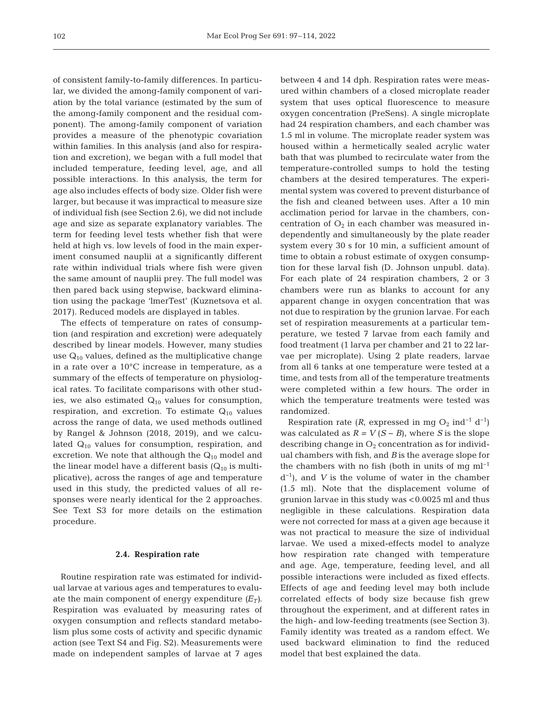of consistent family-to-family differences. In particular, we divided the among-family component of variation by the total variance (estimated by the sum of the among-family component and the residual component). The among-family component of variation provides a measure of the phenotypic covariation within families. In this analysis (and also for respiration and excretion), we began with a full model that included temperature, feeding level, age, and all possible interactions. In this analysis, the term for age also includes effects of body size. Older fish were larger, but because it was impractical to measure size of individual fish (see Section 2.6), we did not include age and size as separate explanatory variables. The term for feeding level tests whether fish that were held at high vs. low levels of food in the main experiment consumed nauplii at a significantly different rate within individual trials where fish were given the same amount of nauplii prey. The full model was then pared back using stepwise, backward elimination using the package 'lmerTest' (Kuznetsova et al. 2017). Reduced models are displayed in tables.

The effects of temperature on rates of consumption (and respiration and excretion) were adequately described by linear models. However, many studies use  $Q_{10}$  values, defined as the multiplicative change in a rate over a 10°C increase in temperature, as a summary of the effects of temperature on physiological rates. To facilitate comparisons with other studies, we also estimated  $Q_{10}$  values for consumption, respiration, and excretion. To estimate  $Q_{10}$  values across the range of data, we used methods outlined by Rangel & Johnson (2018, 2019), and we calculated  $Q_{10}$  values for consumption, respiration, and excretion. We note that although the  $Q_{10}$  model and the linear model have a different basis  $(Q_{10})$  is multiplicative), across the ranges of age and temperature used in this study, the predicted values of all responses were nearly identical for the 2 approaches. See Text S3 for more details on the estimation procedure.

#### **2.4. Respiration rate**

Routine respiration rate was estimated for individual larvae at various ages and temperatures to evaluate the main component of energy expenditure  $(E_T)$ . Respiration was evaluated by measuring rates of oxygen consumption and reflects standard metabolism plus some costs of activity and specific dynamic action (see Text S4 and Fig. S2). Measurements were made on independent samples of larvae at 7 ages

between 4 and 14 dph. Respiration rates were measured within chambers of a closed microplate reader system that uses optical fluorescence to measure oxygen concentration (PreSens). A single microplate had 24 respiration chambers, and each chamber was 1.5 ml in volume. The microplate reader system was housed within a hermetically sealed acrylic water bath that was plumbed to recirculate water from the temperature-controlled sumps to hold the testing chambers at the desired temperatures. The experimental system was covered to prevent disturbance of the fish and cleaned between uses. After a 10 min acclimation period for larvae in the chambers, concentration of  $O_2$  in each chamber was measured independently and simultaneously by the plate reader system every 30 s for 10 min, a sufficient amount of time to obtain a robust estimate of oxygen consumption for these larval fish (D. Johnson unpubl. data). For each plate of 24 respiration chambers, 2 or 3 chambers were run as blanks to account for any apparent change in oxygen concentration that was not due to respiration by the grunion larvae. For each set of respiration measurements at a particular temperature, we tested 7 larvae from each family and food treatment (1 larva per chamber and 21 to 22 larvae per microplate). Using 2 plate readers, larvae from all 6 tanks at one temperature were tested at a time, and tests from all of the temperature treatments were completed within a few hours. The order in which the temperature treatments were tested was randomized.

Respiration rate ( $R$ , expressed in mg O<sub>2</sub> ind<sup>-1</sup> d<sup>-1</sup>) was calculated as  $R = V(S - B)$ , where *S* is the slope describing change in  $O_2$  concentration as for individual chambers with fish, and *B* is the average slope for the chambers with no fish (both in units of mg ml<sup>-1</sup> d−1), and *V* is the volume of water in the chamber (1.5 ml). Note that the displacement volume of grunion larvae in this study was <0.0025 ml and thus negligible in these calculations. Respiration data were not corrected for mass at a given age because it was not practical to measure the size of individual larvae. We used a mixed-effects model to analyze how respiration rate changed with temperature and age. Age, temperature, feeding level, and all possible interactions were included as fixed effects. Effects of age and feeding level may both include correlated effects of body size because fish grew throughout the experiment, and at different rates in the high- and low-feeding treatments (see Section 3). Family identity was treated as a random effect. We used backward elimination to find the reduced model that best explained the data.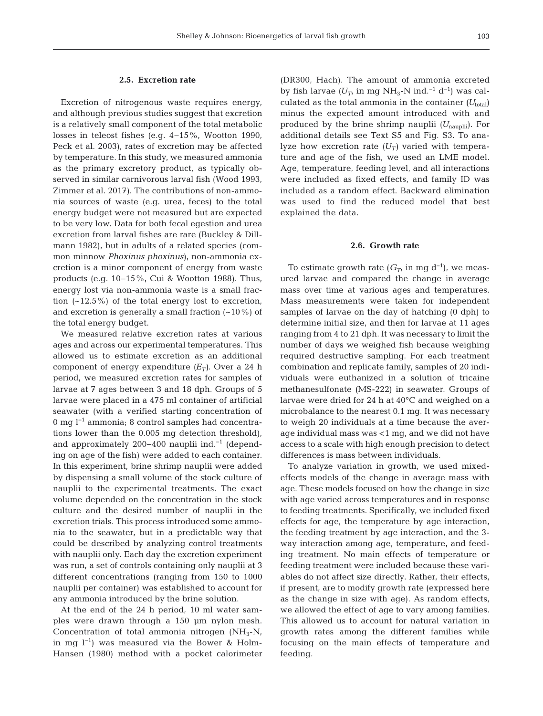## **2.5. Excretion rate**

Excretion of nitrogenous waste requires energy, and although previous studies suggest that excretion is a relatively small component of the total metabolic losses in teleost fishes (e.g. 4−15%, Wootton 1990, Peck et al. 2003), rates of excretion may be affected by temperature. In this study, we measured ammonia as the primary excretory product, as typically observed in similar carnivorous larval fish (Wood 1993, Zimmer et al. 2017). The contributions of non-ammonia sources of waste (e.g. urea, feces) to the total energy budget were not measured but are expected to be very low. Data for both fecal egestion and urea excretion from larval fishes are rare (Buckley & Dillmann 1982), but in adults of a related species (common minnow *Phoxinus phoxinus*), non-ammonia ex cretion is a minor component of energy from waste products (e.g. 10−15%, Cui & Wootton 1988). Thus, energy lost via non-ammonia waste is a small fraction  $(-12.5\%)$  of the total energy lost to excretion, and excretion is generally a small fraction  $(-10\%)$  of the total energy budget.

We measured relative excretion rates at various ages and across our experimental temperatures. This allowed us to estimate excretion as an additional component of energy expenditure  $(E_T)$ . Over a 24 h period, we measured excretion rates for samples of larvae at 7 ages between 3 and 18 dph. Groups of 5 larvae were placed in a 475 ml container of artificial seawater (with a verified starting concentration of 0 mg l−1 ammonia; 8 control samples had concentrations lower than the 0.005 mg detection threshold), and approximately 200−400 nauplii ind.−1 (depending on age of the fish) were added to each container. In this experiment, brine shrimp nauplii were added by dispensing a small volume of the stock culture of nauplii to the experimental treatments. The exact volume depended on the concentration in the stock culture and the desired number of nauplii in the excretion trials. This process introduced some ammonia to the seawater, but in a predictable way that could be described by analyzing control treatments with nauplii only. Each day the excretion experiment was run, a set of controls containing only nauplii at 3 different concentrations (ranging from 150 to 1000 nauplii per container) was established to account for any ammonia introduced by the brine solution.

At the end of the 24 h period, 10 ml water samples were drawn through a 150 μm nylon mesh. Concentration of total ammonia nitrogen  $(NH_3-N,$ in mg l−1) was measured via the Bower & Holm-Hansen (1980) method with a pocket calorimeter (DR300, Hach). The amount of ammonia excreted by fish larvae  $(U_T$ , in mg NH<sub>3</sub>-N ind.<sup>-1</sup> d<sup>-1</sup>) was calculated as the total ammonia in the container  $(U_{total})$ minus the expected amount introduced with and produced by the brine shrimp nauplii (U<sub>nauplii</sub>). For additional details see Text S5 and Fig. S3. To analyze how excretion rate  $(U_T)$  varied with temperature and age of the fish, we used an LME model. Age, temperature, feeding level, and all interactions were included as fixed effects, and family ID was included as a random effect. Backward elimination was used to find the reduced model that best explained the data.

#### **2.6. Growth rate**

To estimate growth rate  $(G_T)$  in mg d<sup>-1</sup>), we measured larvae and compared the change in average mass over time at various ages and temperatures. Mass measurements were taken for independent samples of larvae on the day of hatching (0 dph) to determine initial size, and then for larvae at 11 ages ranging from 4 to 21 dph. It was necessary to limit the number of days we weighed fish because weighing required destructive sampling. For each treatment combination and replicate family, samples of 20 individuals were euthanized in a solution of tricaine methanesulfonate (MS-222) in seawater. Groups of larvae were dried for 24 h at 40°C and weighed on a microbalance to the nearest 0.1 mg. It was necessary to weigh 20 individuals at a time because the average individual mass was <1 mg, and we did not have access to a scale with high enough precision to detect differences is mass between individuals.

To analyze variation in growth, we used mixedeffects models of the change in average mass with age. These models focused on how the change in size with age varied across temperatures and in response to feeding treatments. Specifically, we included fixed effects for age, the temperature by age interaction, the feeding treatment by age interaction, and the 3 way interaction among age, temperature, and feeding treatment. No main effects of temperature or feeding treatment were included because these variables do not affect size directly. Rather, their effects, if present, are to modify growth rate (expressed here as the change in size with age). As random effects, we allowed the effect of age to vary among families. This allowed us to account for natural variation in growth rates among the different families while focusing on the main effects of temperature and feeding.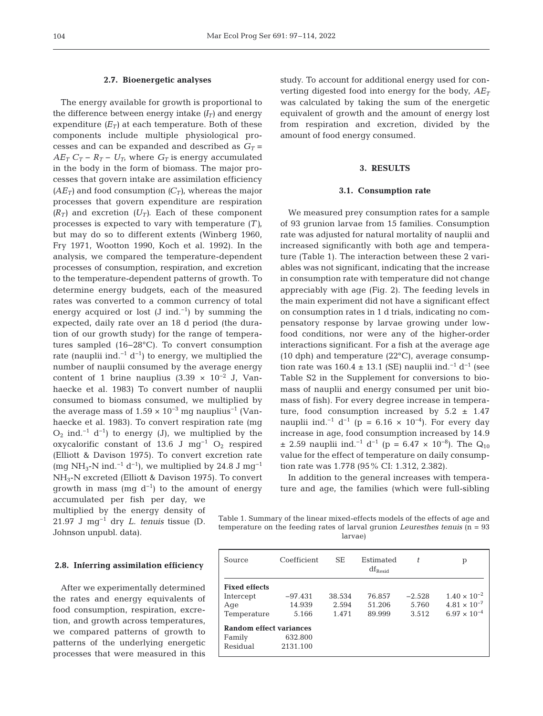#### **2.7. Bioenergetic analyses**

The energy available for growth is proportional to the difference between energy intake  $(I_T)$  and energy expenditure  $(E_T)$  at each temperature. Both of these components include multiple physiological processes and can be expanded and described as  $G_T =$  $AE_T C_T - R_T - U_T$ , where  $G_T$  is energy accumulated in the body in the form of biomass. The major processes that govern intake are assimilation efficiency  $(AE_T)$  and food consumption  $(C_T)$ , whereas the major processes that govern expenditure are respiration  $(R_T)$  and excretion  $(U_T)$ . Each of these component processes is expected to vary with temperature *(T)*, but may do so to different extents (Winberg 1960, Fry 1971, Wootton 1990, Koch et al. 1992). In the analysis, we compared the temperature-dependent processes of consumption, respiration, and excretion to the temperature-dependent patterns of growth. To determine energy budgets, each of the measured rates was converted to a common currency of total energy acquired or lost  $(J \text{ ind.}^{-1})$  by summing the expected, daily rate over an 18 d period (the duration of our growth study) for the range of temperatures sampled (16−28°C). To convert consumption rate (nauplii ind. $^{-1}$  d<sup>-1</sup>) to energy, we multiplied the number of nauplii consumed by the average energy content of 1 brine nauplius (3.39  $\times$  10<sup>-2</sup> J, Vanhaecke et al. 1983) To convert number of nauplii consumed to biomass consumed, we multiplied by the average mass of  $1.59 \times 10^{-3}$  mg nauplius<sup>-1</sup> (Vanhaecke et al. 1983). To convert respiration rate (mg  $O_2$  ind.<sup>−1</sup> d<sup>−1</sup>) to energy (J), we multiplied by the oxycalorific constant of 13.6 J mg<sup>-1</sup> O<sub>2</sub> respired (Elliott & Davison 1975). To convert excretion rate (mg NH<sub>3</sub>-N ind.<sup>-1</sup> d<sup>-1</sup>), we multiplied by 24.8 J mg<sup>-1</sup> NH3-N excreted (Elliott & Davison 1975). To convert growth in mass (mg  $d^{-1}$ ) to the amount of energy accumulated per fish per day, we

multiplied by the energy density of 21.97 J mg−1 dry *L. tenuis* tissue (D. Johnson unpubl. data).

## **2.8. Inferring assimilation efficiency**

After we experimentally determined the rates and energy equivalents of food consumption, respiration, excretion, and growth across temperatures, we compared patterns of growth to patterns of the underlying energetic processes that were measured in this study. To account for additional energy used for converting digested food into energy for the body,  $AE<sub>T</sub>$ was calculated by taking the sum of the energetic equivalent of growth and the amount of energy lost from respiration and excretion, divided by the amount of food energy consumed.

## **3. RESULTS**

### **3.1. Consumption rate**

We measured prey consumption rates for a sample of 93 grunion larvae from 15 families. Consumption rate was adjusted for natural mortality of nauplii and increased significantly with both age and temperature (Table 1). The interaction between these 2 variables was not significant, indicating that the increase in consumption rate with temperature did not change appreciably with age (Fig. 2). The feeding levels in the main experiment did not have a significant effect on consumption rates in 1 d trials, indicating no compensatory response by larvae growing under lowfood conditions, nor were any of the higher-order interactions significant. For a fish at the average age (10 dph) and temperature (22°C), average consumption rate was  $160.4 \pm 13.1$  (SE) nauplii ind.<sup>-1</sup> d<sup>-1</sup> (see Table S2 in the Supplement for conversions to biomass of nauplii and energy consumed per unit biomass of fish). For every degree increase in temperature, food consumption increased by  $5.2 \pm 1.47$ nauplii ind.<sup>−1</sup> d<sup>−1</sup> (p = 6.16 × 10<sup>-4</sup>). For every day increase in age, food consumption increased by 14.9  $± 2.59$  nauplii ind.<sup>-1</sup> d<sup>-1</sup> (p = 6.47 × 10<sup>-8</sup>). The Q<sub>10</sub> value for the effect of temperature on daily consumption rate was 1.778 (95% CI: 1.312, 2.382).

In addition to the general increases with temperature and age, the families (which were full-sibling

Table 1. Summary of the linear mixed-effects models of the effects of age and temperature on the feeding rates of larval grunion *Leuresthes tenuis* (n = 93 larvae)

| Source                         | Coefficient | SE.    | Estimated<br>$df_{\rm Resid}$ | t.       | р                     |  |  |
|--------------------------------|-------------|--------|-------------------------------|----------|-----------------------|--|--|
| <b>Fixed effects</b>           |             |        |                               |          |                       |  |  |
| Intercept                      | $-97.431$   | 38.534 | 76.857                        | $-2.528$ | $1.40 \times 10^{-2}$ |  |  |
| Age                            | 14.939      | 2.594  | 51.206                        | 5.760    | $4.81 \times 10^{-7}$ |  |  |
| Temperature                    | 5.166       | 1.471  | 89.999                        | 3.512    | $6.97 \times 10^{-4}$ |  |  |
| <b>Random effect variances</b> |             |        |                               |          |                       |  |  |
| Family                         | 632.800     |        |                               |          |                       |  |  |
| Residual                       | 2131.100    |        |                               |          |                       |  |  |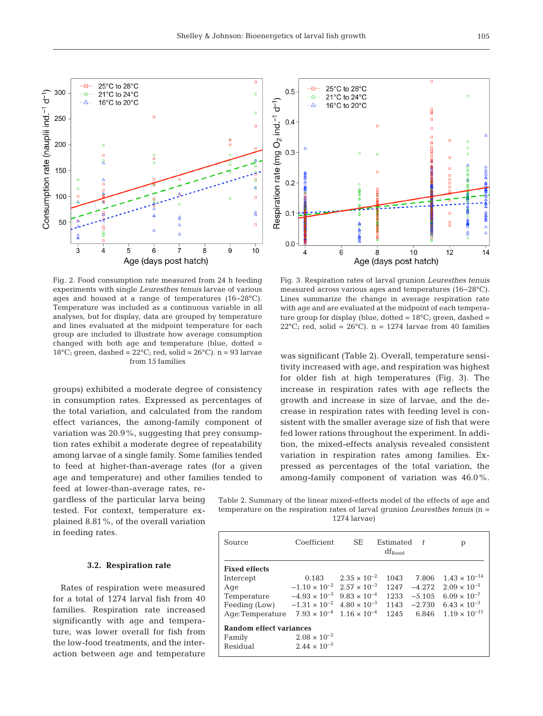300 Consumption rate (nauplii ind.<sup>-1</sup> d<sup>-1</sup>) 21°C to 24°C  $\overline{a}$ ٠Â. 16°C to 20°C Î. 250 e<br>F 200 o Di 150 100  $\overline{a}$  $\hat{\mathbf{z}}$ 50  $\bar{\mathbf{q}}$  $\overline{3}$  $\overline{7}$  $\dot{8}$  $10$ 5 6 9  $\overline{4}$ Age (days post hatch)

25°C to 28°C

Fig. 2. Food consumption rate measured from 24 h feeding experiments with single *Leuresthes tenuis* larvae of various ages and housed at a range of temperatures (16−28°C). Temperature was included as a continuous variable in all analyses, but for display, data are grouped by temperature and lines evaluated at the midpoint temperature for each group are included to illustrate how average consumption changed with both age and temperature (blue, dotted = 18 $^{\circ}$ C; green, dashed = 22 $^{\circ}$ C; red, solid = 26 $^{\circ}$ C). n = 93 larvae from 15 families

groups) exhibited a moderate degree of consistency in consumption rates. Expressed as percentages of the total variation, and calculated from the random effect variances, the among-family component of variation was 20.9%, suggesting that prey consumption rates exhibit a moderate degree of repeatability among larvae of a single family. Some families tended to feed at higher-than-average rates (for a given age and temperature) and other families tended to feed at lower-than-average rates, re -

gardless of the particular larva being tested. For context, temperature explained 8.81%, of the overall variation in feeding rates.

## **3.2. Respiration rate**

Rates of respiration were measured for a total of 1274 larval fish from 40 families. Respiration rate increased significantly with age and temperature, was lower overall for fish from the low-food treatments, and the interaction between age and temperature



was significant (Table 2). Overall, temperature sensitivity increased with age, and respiration was highest for older fish at high temperatures (Fig. 3). The increase in respiration rates with age reflects the growth and increase in size of larvae, and the decrease in respiration rates with feeding level is consistent with the smaller average size of fish that were fed lower rations throughout the experiment. In addition, the mixed-effects analysis revealed consistent variation in respiration rates among families. Expressed as percentages of the total variation, the among-family component of variation was 46.0%.

Table 2. Summary of the linear mixed-effects model of the effects of age and temperature on the respiration rates of larval grunion *Leuresthes tenuis* (n = 1274 larvae)

| Source                         | Coefficient                                  | SE.                   | Estimated<br>$df_{\text{Resid}}$ | t        | p                              |  |
|--------------------------------|----------------------------------------------|-----------------------|----------------------------------|----------|--------------------------------|--|
| <b>Fixed effects</b>           |                                              |                       |                                  |          |                                |  |
| Intercept                      | 0.183                                        | $2.35 \times 10^{-2}$ | 1043                             | 7.806    | $1.43 \times 10^{-14}$         |  |
| Age                            | $-1.10 \times 10^{-2}$ $2.57 \times 10^{-3}$ |                       | 1247                             | $-4.272$ | $2.09 \times 10^{-5}$          |  |
| Temperature                    | $-4.93 \times 10^{-3}$ 9.83 $\times 10^{-4}$ |                       | 1233                             | $-5.105$ | $6.09 \times 10^{-7}$          |  |
| Feeding (Low)                  | $-1.31 \times 10^{-2}$ 4.80 $\times 10^{-3}$ |                       | 1143                             | $-2.730$ | 6.43 $\times$ 10 <sup>-3</sup> |  |
| Age:Temperature                | $7.93 \times 10^{-4}$ 1.16 $\times 10^{-4}$  |                       | 1245                             | 6.846    | $1.19 \times 10^{-11}$         |  |
| <b>Random effect variances</b> |                                              |                       |                                  |          |                                |  |
| Family                         | $2.08 \times 10^{-3}$                        |                       |                                  |          |                                |  |
| Residual                       | $2.44 \times 10^{-3}$                        |                       |                                  |          |                                |  |

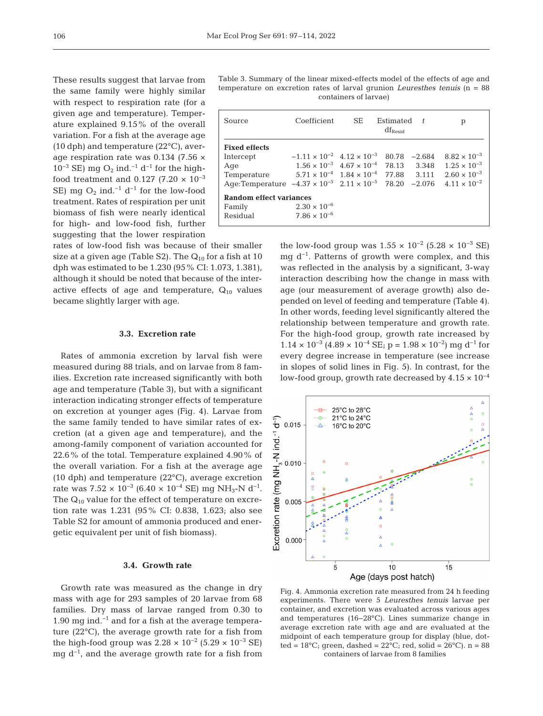These results suggest that larvae from the same family were highly similar with respect to respiration rate (for a given age and temperature). Temperature explained 9.15% of the overall variation. For a fish at the average age (10 dph) and temperature (22°C), average respiration rate was 0.134 (7.56  $\times$  $10^{-3}$  SE) mg O<sub>2</sub> ind.<sup>-1</sup> d<sup>-1</sup> for the highfood treatment and 0.127 (7.20  $\times$  10<sup>-3</sup> SE) mg O<sub>2</sub> ind.<sup>-1</sup> d<sup>-1</sup> for the low-food treatment. Rates of respiration per unit biomass of fish were nearly identical for high- and low-food fish, further suggesting that the lower respiration

rates of low-food fish was because of their smaller size at a given age (Table S2). The  $Q_{10}$  for a fish at 10 dph was estimated to be 1.230 (95% CI: 1.073, 1.381), although it should be noted that because of the interactive effects of age and temperature,  $Q_{10}$  values became slightly larger with age.

## **3.3. Excretion rate**

Rates of ammonia excretion by larval fish were measured during 88 trials, and on larvae from 8 families. Excretion rate increased significantly with both age and temperature (Table 3), but with a significant interaction indicating stronger effects of temperature on excretion at younger ages (Fig. 4). Larvae from the same family tended to have similar rates of excretion (at a given age and temperature), and the among-family component of variation accounted for  $22.6\%$  of the total. Temperature explained 4.90% of the overall variation. For a fish at the average age (10 dph) and temperature (22°C), average excretion rate was  $7.52 \times 10^{-3}$  (6.40 × 10<sup>-4</sup> SE) mg NH<sub>3</sub>-N d<sup>-1</sup>. The  $Q_{10}$  value for the effect of temperature on excretion rate was 1.231 (95% CI: 0.838, 1.623; also see Table S2 for amount of ammonia produced and energetic equivalent per unit of fish biomass).

## **3.4. Growth rate**

Growth rate was measured as the change in dry mass with age for 293 samples of 20 larvae from 68 families. Dry mass of larvae ranged from 0.30 to 1.90 mg ind.−1 and for a fish at the average temperature (22°C), the average growth rate for a fish from the high-food group was  $2.28 \times 10^{-2}$  (5.29  $\times 10^{-3}$  SE) mg  $d^{-1}$ , and the average growth rate for a fish from

Table 3. Summary of the linear mixed-effects model of the effects of age and temperature on excretion rates of larval grunion *Leuresthes tenuis* (n = 88 containers of larvae)

| Source                                                                      | Coefficient                                             | SE.                 | Estimated | $\pm$    | р                     |  |
|-----------------------------------------------------------------------------|---------------------------------------------------------|---------------------|-----------|----------|-----------------------|--|
|                                                                             |                                                         | $df_{\text{Resid}}$ |           |          |                       |  |
| <b>Fixed effects</b>                                                        |                                                         |                     |           |          |                       |  |
| Intercept                                                                   | $-1.11 \times 10^{-2}$ 4.12 $\times 10^{-3}$            |                     | 80.78     | $-2.684$ | $8.82 \times 10^{-3}$ |  |
| Age                                                                         | $1.56 \times 10^{-3}$ $4.67 \times 10^{-4}$ 78.13 3.348 |                     |           |          | $1.25 \times 10^{-3}$ |  |
| Temperature                                                                 | $5.71 \times 10^{-4}$ $1.84 \times 10^{-4}$ 77.88 3.111 |                     |           |          | $2.60 \times 10^{-3}$ |  |
| Age:Temperature $-4.37 \times 10^{-5}$ $2.11 \times 10^{-5}$ 78.20 $-2.076$ |                                                         |                     |           |          | $4.11 \times 10^{-2}$ |  |
| Random effect variances                                                     |                                                         |                     |           |          |                       |  |
| Family                                                                      | $2.30 \times 10^{-6}$                                   |                     |           |          |                       |  |
| Residual                                                                    | $7.86 \times 10^{-6}$                                   |                     |           |          |                       |  |

the low-food group was  $1.55 \times 10^{-2}$  (5.28  $\times 10^{-3}$  SE) mg d−1. Patterns of growth were complex, and this was reflected in the analysis by a significant, 3-way interaction describing how the change in mass with age (our measurement of average growth) also de pended on level of feeding and temperature (Table 4). In other words, feeding level significantly altered the relationship between temperature and growth rate. For the high-food group, growth rate increased by  $1.14 \times 10^{-3}$  (4.89 × 10<sup>-4</sup> SE; p = 1.98 × 10<sup>-2</sup>) mg d<sup>-1</sup> for every degree increase in temperature (see increase in slopes of solid lines in Fig. 5). In contrast, for the low-food group, growth rate decreased by 4.15 × 10−4



Fig. 4. Ammonia excretion rate measured from 24 h feeding experiments. There were 5 *Leuresthes tenuis* larvae per container, and excretion was evaluated across various ages and temperatures (16−28°C). Lines summarize change in average excretion rate with age and are evaluated at the midpoint of each temperature group for display (blue, dotted =  $18^{\circ}$ C; green, dashed =  $22^{\circ}$ C; red, solid =  $26^{\circ}$ C). n = 88 containers of larvae from 8 families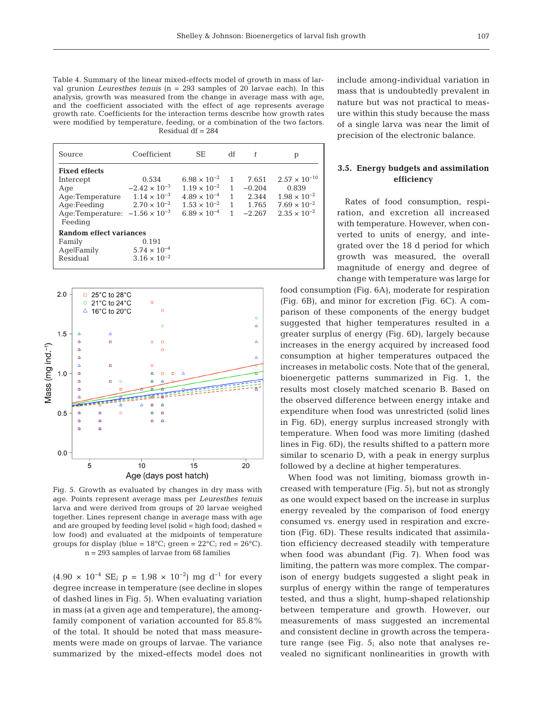Table 4. Summary of the linear mixed-effects model of growth in mass of larval grunion *Leuresthes tenuis* (n = 293 samples of 20 larvae each). In this analysis, growth was measured from the change in average mass with age, and the coefficient associated with the effect of age represents average growth rate. Coefficients for the interaction terms describe how growth rates were modified by temperature, feeding, or a combination of the two factors. Residual df = 284

| Source                                             | Coefficient            | SE.                            | df | t        | р                      |
|----------------------------------------------------|------------------------|--------------------------------|----|----------|------------------------|
| <b>Fixed effects</b>                               |                        |                                |    |          |                        |
| Intercept                                          | 0.534                  | $6.98 \times 10^{-2}$          | 1  | 7.651    | $2.57 \times 10^{-10}$ |
| Age                                                | $-2.42 \times 10^{-3}$ | $1.19 \times 10^{-2}$          | 1  | $-0.204$ | 0.839                  |
| Age:Temperature                                    | $1.14 \times 10^{-3}$  | $4.89 \times 10^{-4}$          | 1  | 2.344    | $1.98 \times 10^{-2}$  |
| Age:Feeding                                        | $2.70 \times 10^{-2}$  | $1.53 \times 10^{-2}$          | 1  | 1.765    | $7.69 \times 10^{-2}$  |
| Age:Temperature: $-1.56 \times 10^{-3}$<br>Feeding |                        | 6.89 $\times$ 10 <sup>-4</sup> | 1  | $-2.267$ | $2.35 \times 10^{-2}$  |
| Random effect variances                            |                        |                                |    |          |                        |
| Family                                             | 0.191                  |                                |    |          |                        |
| AqelFamily                                         | $5.74 \times 10^{-4}$  |                                |    |          |                        |
| Residual                                           | $3.16 \times 10^{-2}$  |                                |    |          |                        |



Fig. 5. Growth as evaluated by changes in dry mass with age. Points represent average mass per *Leuresthes tenuis* larva and were derived from groups of 20 larvae weighed together. Lines represent change in average mass with age and are grouped by feeding level (solid = high food; dashed = low food) and evaluated at the midpoints of temperature groups for display (blue =  $18^{\circ}$ C; green =  $22^{\circ}$ C; red =  $26^{\circ}$ C). n = 293 samples of larvae from 68 families

 $(4.90 \times 10^{-4} \text{ SE}; \text{ p} = 1.98 \times 10^{-2}) \text{ mg d}^{-1}$  for every degree increase in temperature (see decline in slopes of dashed lines in Fig. 5). When evaluating variation in mass (at a given age and temperature), the amongfamily component of variation accounted for 85.8% of the total. It should be noted that mass measurements were made on groups of larvae. The variance summarized by the mixed-effects model does not include among-individual variation in mass that is undoubtedly prevalent in nature but was not practical to measure within this study be cause the mass of a single larva was near the limit of precision of the electronic balance.

# **3.5. Energy budgets and assimilation efficiency**

Rates of food consumption, respiration, and excretion all increased with temperature. However, when converted to units of energy, and integrated over the 18 d period for which growth was measured, the overall magnitude of energy and degree of change with temperature was large for

food consumption (Fig. 6A), moderate for respiration (Fig. 6B), and minor for excretion (Fig. 6C). A comparison of these components of the energy budget suggested that higher temperatures resulted in a greater surplus of energy (Fig. 6D), largely because increases in the energy acquired by increased food consumption at higher temperatures outpaced the increases in metabolic costs. Note that of the general, bioenergetic patterns summarized in Fig. 1, the results most closely matched scenario B. Based on the observed difference between energy intake and expenditure when food was unrestricted (solid lines in Fig.  $6D$ , energy surplus increased strongly with temperature. When food was more limiting (dashed lines in Fig. 6D), the results shifted to a pattern more similar to scenario D, with a peak in energy surplus followed by a decline at higher temperatures.

When food was not limiting, biomass growth increased with temperature (Fig. 5), but not as strongly as one would expect based on the increase in surplus energy revealed by the comparison of food energy consumed vs. energy used in respiration and excretion (Fig. 6D). These results indicated that assimilation efficiency decreased steadily with temperature when food was abundant (Fig. 7). When food was limiting, the pattern was more complex. The comparison of energy budgets suggested a slight peak in surplus of energy within the range of temperatures tested, and thus a slight, hump-shaped relationship between temperature and growth. However, our measurements of mass suggested an incremental and consistent decline in growth across the temperature range (see Fig. 5; also note that analyses revealed no significant nonlinearities in growth with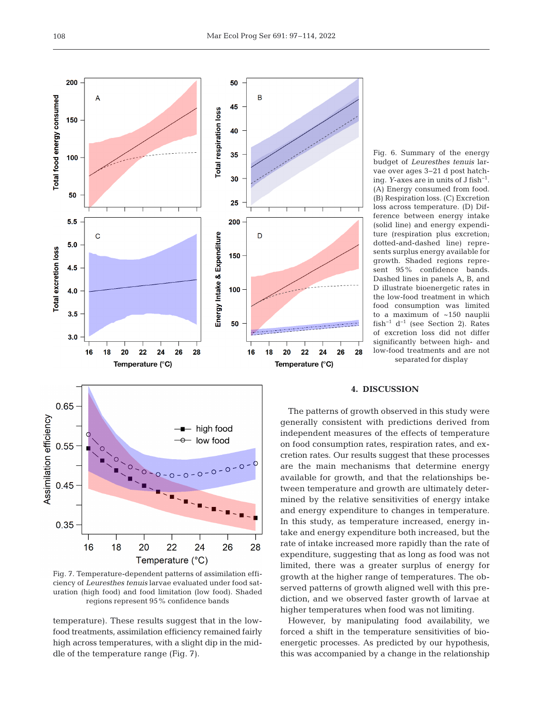

Fig. 7. Temperature-dependent patterns of assimilation efficiency of *Leuresthes tenuis* larvae evaluated under food saturation (high food) and food limitation (low food). Shaded regions represent 95% confidence bands

Temperature (°C)

temperature). These results suggest that in the lowfood treatments, assimilation efficiency remained fairly high across temperatures, with a slight dip in the middle of the temperature range (Fig. 7).

Fig. 6. Summary of the energy budget of *Leuresthes tenuis* larvae over ages 3−21 d post hatching. *Y*-axes are in units of J fish−1. (A) Energy consumed from food. (B) Respiration loss. (C) Excretion loss across temperature. (D) Difference between energy intake (solid line) and energy expenditure (respiration plus excretion; dotted-and-dashed line) represents surplus energy available for growth. Shaded regions represent 95% confidence bands. Dashed lines in panels A, B, and D illustrate bioenergetic rates in the low-food treatment in which food consumption was limited to a maximum of ~150 nauplii fish−1 d−1 (see Section 2). Rates of excretion loss did not differ significantly between high- and low-food treatments and are not separated for display

### **4. DISCUSSION**

26 28

The patterns of growth observed in this study were generally consistent with predictions derived from independent measures of the effects of temperature on food consumption rates, respiration rates, and excretion rates. Our results suggest that these processes are the main mechanisms that determine energy available for growth, and that the relationships be tween temperature and growth are ultimately determined by the relative sensitivities of energy intake and energy expenditure to changes in temperature. In this study, as temperature increased, energy intake and energy expenditure both increased, but the rate of intake increased more rapidly than the rate of expenditure, suggesting that as long as food was not limited, there was a greater surplus of energy for growth at the higher range of temperatures. The ob served patterns of growth aligned well with this prediction, and we observed faster growth of larvae at higher temperatures when food was not limiting.

However, by manipulating food availability, we forced a shift in the temperature sensitivities of bio energetic processes. As predicted by our hypothesis, this was accompanied by a change in the relationship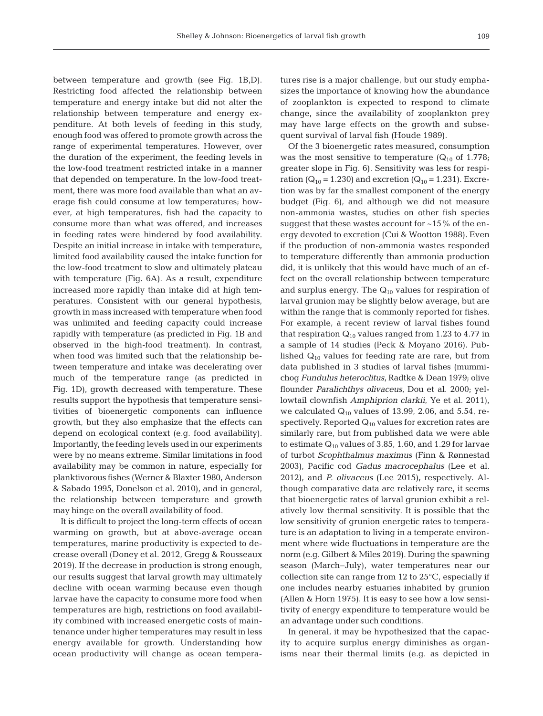109

between temperature and growth (see Fig. 1B,D). Restricting food affected the relationship between temperature and energy intake but did not alter the relationship between temperature and energy expenditure. At both levels of feeding in this study, enough food was offered to promote growth across the range of experimental temperatures. However, over the duration of the experiment, the feeding levels in the low-food treatment restricted intake in a manner that depended on temperature. In the low-food treatment, there was more food available than what an average fish could consume at low temperatures; however, at high temperatures, fish had the capacity to consume more than what was offered, and increases in feeding rates were hindered by food availability. Despite an initial increase in intake with temperature, limited food availability caused the intake function for the low-food treatment to slow and ultimately plateau with temperature (Fig. 6A). As a result, expenditure increased more rapidly than intake did at high temperatures. Consistent with our general hypothesis, growth in mass increased with temperature when food was unlimited and feeding capacity could increase rapidly with temperature (as predicted in Fig. 1B and observed in the high-food treatment). In contrast, when food was limited such that the relationship between temperature and intake was decelerating over much of the temperature range (as predicted in Fig. 1D), growth decreased with temperature. These results support the hypothesis that temperature sensitivities of bioenergetic components can influence growth, but they also emphasize that the effects can depend on ecological context (e.g. food availability). Importantly, the feeding levels used in our experiments were by no means extreme. Similar limitations in food availability may be common in nature, especially for planktivorous fishes (Werner & Blaxter 1980, Anderson & Sabado 1995, Donelson et al. 2010), and in general, the relationship between temperature and growth may hinge on the overall availability of food.

It is difficult to project the long-term effects of ocean warming on growth, but at above-average ocean temperatures, marine productivity is expected to de crease overall (Doney et al. 2012, Gregg & Rousseaux 2019). If the decrease in production is strong enough, our results suggest that larval growth may ultimately decline with ocean warming because even though larvae have the capacity to consume more food when temperatures are high, restrictions on food availability combined with increased energetic costs of maintenance under higher temperatures may result in less energy available for growth. Understanding how ocean productivity will change as ocean temperatures rise is a major challenge, but our study emphasizes the importance of knowing how the abundance of zooplankton is expected to respond to climate change, since the availability of zooplankton prey may have large effects on the growth and subsequent survival of larval fish (Houde 1989).

Of the 3 bioenergetic rates measured, consumption was the most sensitive to temperature  $(Q_{10}$  of 1.778; greater slope in Fig. 6). Sensitivity was less for respiration ( $Q_{10}$  = 1.230) and excretion ( $Q_{10}$  = 1.231). Excretion was by far the smallest component of the energy budget (Fig. 6), and although we did not measure non-ammonia wastes, studies on other fish species suggest that these wastes account for  $~15\%$  of the energy devoted to excretion (Cui & Wootton 1988). Even if the production of non-ammonia wastes responded to temperature differently than ammonia production did, it is unlikely that this would have much of an effect on the overall relationship between temperature and surplus energy. The  $Q_{10}$  values for respiration of larval grunion may be slightly below average, but are within the range that is commonly reported for fishes. For example, a recent review of larval fishes found that respiration  $Q_{10}$  values ranged from 1.23 to 4.77 in a sample of 14 studies (Peck & Moyano 2016). Published  $Q_{10}$  values for feeding rate are rare, but from data published in 3 studies of larval fishes (mummichog *Fundulus heteroclitus*, Radtke & Dean 1979; olive flounder *Paralichthys olivaceus*, Dou et al. 2000; yellowtail clownfish *Amphiprion clarkii*, Ye et al. 2011), we calculated  $Q_{10}$  values of 13.99, 2.06, and 5.54, respectively. Reported  $Q_{10}$  values for excretion rates are similarly rare, but from published data we were able to estimate  $Q_{10}$  values of 3.85, 1.60, and 1.29 for larvae of turbot *Scophthalmus maximus* (Finn & Rønnestad 2003), Pacific cod *Gadus macrocephalus* (Lee et al. 2012), and *P. olivaceus* (Lee 2015), respectively. Although comparative data are relatively rare, it seems that bioenergetic rates of larval grunion exhibit a relatively low thermal sensitivity. It is possible that the low sensitivity of grunion energetic rates to temperature is an adaptation to living in a temperate environment where wide fluctuations in temperature are the norm (e.g. Gilbert & Miles 2019). During the spawning season (March−July), water temperatures near our collection site can range from 12 to 25°C, especially if one includes nearby estuaries inhabited by grunion (Allen & Horn 1975). It is easy to see how a low sensitivity of energy expenditure to temperature would be an advantage under such conditions.

In general, it may be hypothesized that the capacity to acquire surplus energy diminishes as organisms near their thermal limits (e.g. as depicted in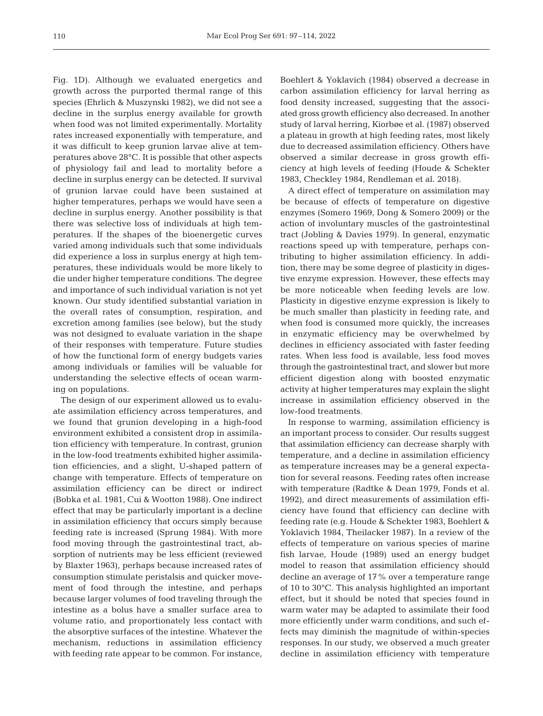Fig. 1D). Although we evaluated energetics and growth across the purported thermal range of this species (Ehrlich & Muszynski 1982), we did not see a decline in the surplus energy available for growth when food was not limited experimentally. Mortality rates in creased exponentially with temperature, and it was difficult to keep grunion larvae alive at temperatures above 28°C. It is possible that other aspects of physiology fail and lead to mortality before a decline in surplus energy can be detected. If survival of grunion larvae could have been sustained at higher temperatures, perhaps we would have seen a decline in surplus energy. Another possibility is that there was selective loss of individuals at high temperatures. If the shapes of the bioenergetic curves varied among individuals such that some individuals did experience a loss in surplus energy at high temperatures, these individuals would be more likely to die under higher temperature conditions. The degree and importance of such individual variation is not yet known. Our study identified substantial variation in the overall rates of consumption, respiration, and excretion among families (see below), but the study was not designed to evaluate variation in the shape of their responses with temperature. Future studies of how the functional form of energy budgets varies among individuals or families will be valuable for understanding the selective effects of ocean warming on populations.

The design of our experiment allowed us to evaluate assimilation efficiency across temperatures, and we found that grunion developing in a high-food environment exhibited a consistent drop in assimilation efficiency with temperature. In contrast, grunion in the low-food treatments exhibited higher assimilation efficiencies, and a slight, U-shaped pattern of change with temperature. Effects of temperature on assimilation efficiency can be direct or indirect (Bobka et al. 1981, Cui & Wootton 1988). One indirect effect that may be particularly important is a decline in assimilation efficiency that occurs simply because feeding rate is increased (Sprung 1984). With more food moving through the gastrointestinal tract, ab sorption of nutrients may be less efficient (reviewed by Blaxter 1963), perhaps because increased rates of consumption stimulate peristalsis and quicker movement of food through the intestine, and perhaps because larger volumes of food traveling through the intestine as a bolus have a smaller surface area to volume ratio, and proportionately less contact with the absorptive surfaces of the intestine. Whatever the mechanism, reductions in assimilation efficiency with feeding rate appear to be common. For instance,

Boehlert & Yoklavich (1984) observed a decrease in carbon assimilation efficiency for larval herring as food density increased, suggesting that the associated gross growth efficiency also decreased. In another study of larval herring, Kiorbøe et al. (1987) observed a plateau in growth at high feeding rates, most likely due to decreased assimilation efficiency. Others have observed a similar decrease in gross growth efficiency at high levels of feeding (Houde & Schekter 1983, Checkley 1984, Rendleman et al. 2018).

A direct effect of temperature on assimilation may be because of effects of temperature on digestive enzymes (Somero 1969, Dong & Somero 2009) or the action of involuntary muscles of the gastrointestinal tract (Jobling & Davies 1979). In general, enzymatic reactions speed up with temperature, perhaps contributing to higher assimilation efficiency. In addition, there may be some degree of plasticity in digestive enzyme expression. However, these effects may be more noticeable when feeding levels are low. Plasticity in digestive enzyme expression is likely to be much smaller than plasticity in feeding rate, and when food is consumed more quickly, the increases in enzymatic efficiency may be overwhelmed by declines in efficiency associated with faster feeding rates. When less food is available, less food moves through the gastrointestinal tract, and slower but more efficient digestion along with boosted enzymatic activity at higher temperatures may explain the slight increase in assimilation efficiency observed in the low-food treatments.

In response to warming, assimilation efficiency is an important process to consider. Our results suggest that assimilation efficiency can decrease sharply with temperature, and a decline in assimilation efficiency as temperature increases may be a general expectation for several reasons. Feeding rates often increase with temperature (Radtke & Dean 1979, Fonds et al. 1992), and direct measurements of assimilation efficiency have found that efficiency can decline with feeding rate (e.g. Houde & Schekter 1983, Boehlert & Yoklavich 1984, Theilacker 1987). In a review of the effects of temperature on various species of marine fish larvae, Houde (1989) used an energy budget model to reason that assimilation efficiency should decline an average of 17% over a temperature range of 10 to 30°C. This analysis highlighted an important effect, but it should be noted that species found in warm water may be adapted to assimilate their food more efficiently under warm conditions, and such ef fects may diminish the magnitude of within- species responses. In our study, we observed a much greater decline in assimilation efficiency with temperature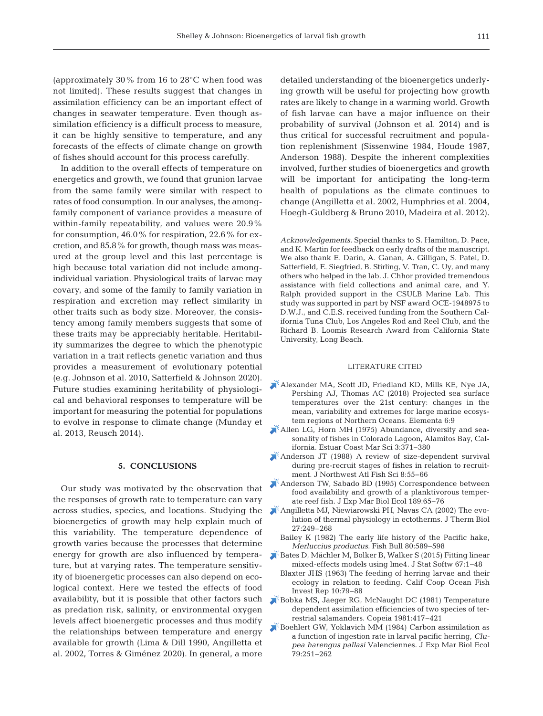(approximately 30% from 16 to 28°C when food was not limited). These results suggest that changes in assimilation efficiency can be an important effect of changes in seawater temperature. Even though as similation efficiency is a difficult process to measure, it can be highly sensitive to temperature, and any forecasts of the effects of climate change on growth of fishes should account for this process carefully.

In addition to the overall effects of temperature on energetics and growth, we found that grunion larvae from the same family were similar with respect to rates of food consumption. In our analyses, the amongfamily component of variance provides a measure of within-family repeatability, and values were 20.9% for consumption, 46.0% for respiration, 22.6% for excretion, and 85.8% for growth, though mass was measured at the group level and this last percentage is high because total variation did not include amongindividual variation. Physiological traits of larvae may covary, and some of the family to family variation in respiration and excretion may reflect similarity in other traits such as body size. Moreover, the consistency among family members suggests that some of these traits may be appreciably heritable. Heritability summarizes the degree to which the phenotypic variation in a trait reflects genetic variation and thus provides a measurement of evolutionary potential (e.g. Johnson et al. 2010, Satterfield & Johnson 2020). Future studies examining heritability of physiological and behavioral responses to temperature will be important for measuring the potential for populations to evolve in response to climate change (Munday et al. 2013, Reusch 2014).

## **5. CONCLUSIONS**

Our study was motivated by the observation that the responses of growth rate to temperature can vary bioenergetics of growth may help explain much of this variability. The temperature dependence of growth varies because the processes that determine energy for growth are also influenced by temperature, but at varying rates. The temperature sensitivity of bioenergetic processes can also depend on ecological context. Here we tested the effects of food availability, but it is possible that other factors such as predation risk, salinity, or environmental oxygen levels affect bioenergetic processes and thus modify the relationships between temperature and energy available for growth (Lima & Dill 1990, Angilletta et al. 2002, Torres & Giménez 2020). In general, a more

detailed understanding of the bioenergetics underlying growth will be useful for projecting how growth rates are likely to change in a warming world. Growth of fish larvae can have a major influence on their probability of survival (Johnson et al. 2014) and is thus critical for successful recruitment and population replenishment (Sissenwine 1984, Houde 1987, Anderson 1988). Despite the inherent complexities involved, further studies of bioenergetics and growth will be important for anticipating the long-term health of populations as the climate continues to change (Angilletta et al. 2002, Humphries et al. 2004, Hoegh-Guldberg & Bruno 2010, Madeira et al. 2012).

*Acknowledgements*. Special thanks to S. Hamilton, D. Pace, and K. Martin for feedback on early drafts of the manuscript. We also thank E. Darin, A. Ganan, A. Gilligan, S. Patel, D. Satterfield, E. Siegfried, B. Stirling, V. Tran, C. Uy, and many others who helped in the lab. J. Chhor provided tremendous assistance with field collections and animal care, and Y. Ralph provided support in the CSULB Marine Lab. This study was supported in part by NSF award OCE-1948975 to D.W.J., and C.E.S. received funding from the Southern California Tuna Club, Los Angeles Rod and Reel Club, and the Richard B. Loomis Research Award from California State University, Long Beach.

#### LITERATURE CITED

- [Alexander MA, Scott JD, Friedland KD, Mills KE, Nye JA,](https://doi.org/10.1525/elementa.191)  Pershing AJ, Thomas AC (2018) Projected sea surface temperatures over the 21st century: changes in the mean, variability and extremes for large marine ecosystem regions of Northern Oceans. Elementa 6:9
- [Allen LG, Horn MH \(1975\) Abundance, diversity and sea](https://doi.org/10.1016/0302-3524(75)90035-3)sonality of fishes in Colorado Lagoon, Alamitos Bay, California. Estuar Coast Mar Sci 3: 371−380
- [Anderson JT \(1988\) A review of size-dependent survival](https://doi.org/10.2960/J.v8.a6)  during pre-recruit stages of fishes in relation to recruitment. J Northwest Atl Fish Sci 8:55-66
- [Anderson TW, Sabado BD \(1995\) Correspondence between](https://doi.org/10.1016/0022-0981(95)00011-F)  food availability and growth of a planktivorous temperate reef fish. J Exp Mar Biol Ecol 189:65-76
- across studies, species, and locations. Studying the [Angilletta MJ, Niewiarowski PH, Navas CA \(2002\) The evo](https://doi.org/10.1016/S0306-4565(01)00094-8)lution of thermal physiology in ectotherms. J Therm Biol 27: 249–268
	- Bailey K (1982) The early life history of the Pacific hake, *Merluccius productus.* Fish Bull 80:589-598
	- [Bates D, Mächler M, Bolker B, Walker S \(2015\) Fitting linear](https://doi.org/10.18637/jss.v067.i01)  mixed-effects models using lme4. J Stat Softw 67: 1−48
		- Blaxter JHS (1963) The feeding of herring larvae and their ecology in relation to feeding. Calif Coop Ocean Fish Invest Rep 10: 79−88
	- [Bobka MS, Jaeger RG, McNaught DC \(1981\) Temperature](https://doi.org/10.2307/1444232)  dependent assimilation efficiencies of two species of terrestrial salamanders. Copeia 1981: 417−421
	- [Boehlert GW, Yoklavich MM \(1984\) Carbon assimilation as](https://doi.org/10.1016/0022-0981(84)90199-0)  a function of ingestion rate in larval pacific herring, *Clupea harengus pallasi* Valenciennes. J Exp Mar Biol Ecol 79: 251−262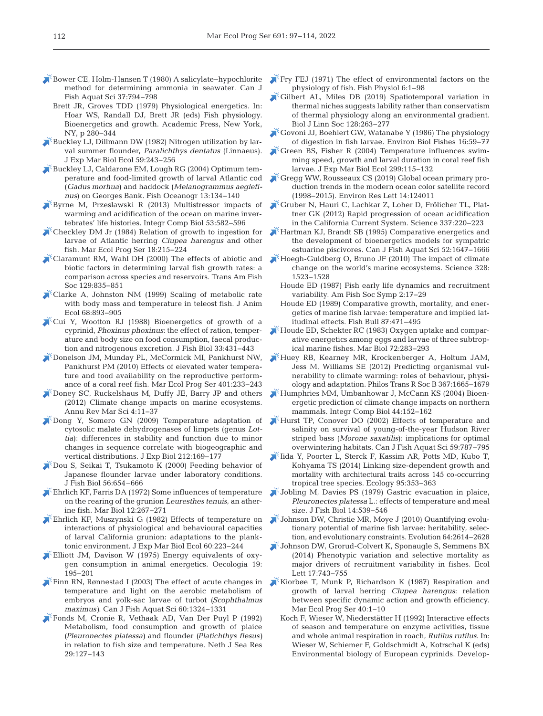- [Bower CE, Holm-Hansen T \(1980\) A salicylate−hypochlorite](https://doi.org/10.1139/f80-106)  method for determining ammonia in seawater. Can J Fish Aquat Sci 37: 794−798
	- Brett JR, Groves TDD (1979) Physiological energetics. In: Hoar WS, Randall DJ, Brett JR (eds) Fish physiology. Bioenergetics and growth. Academic Press, New York, NY, p 280−344
- [Buckley LJ, Dillmann DW \(1982\) Nitrogen utilization by lar](https://doi.org/10.1016/0022-0981(82)90119-8)val summer flounder, *Paralichthys dentatus* (Linnaeus). J Exp Mar Biol Ecol 59:243-256
- [Buckley LJ, Caldarone EM, Lough RG \(2004\) Optimum tem](https://doi.org/10.1046/j.1365-2419.2003.00278.x)perature and food-limited growth of larval Atlantic cod (*Gadus morhua*) and haddock (*Melanogrammus aeglefinus*) on Georges Bank. Fish Oceanogr 13: 134−140
- [Byrne M, Przeslawski R \(2013\) Multistressor impacts of](https://doi.org/10.1093/icb/ict049)  warming and acidification of the ocean on marine invertebrates' life histories. Integr Comp Biol 53: 582−596
- [Checkley DM Jr \(1984\) Relation of growth to ingestion for](https://doi.org/10.3354/meps018215)  larvae of Atlantic herring *Clupea harengus* and other fish. Mar Ecol Prog Ser 18: 215−224
- [Claramunt RM, Wahl DH \(2000\) The effects of abiotic and](https://doi.org/10.1577/1548-8659(2000)129%3C0835%3ATEOAAB%3E2.3.CO%3B2)  biotic factors in determining larval fish growth rates: a comparison across species and reservoirs. Trans Am Fish Soc 129:835-851
- [Clarke A, Johnston NM \(1999\) Scaling of metabolic rate](https://doi.org/10.1046/j.1365-2656.1999.00337.x)  with body mass and temperature in teleost fish. J Anim Ecol 68: 893−905
- [Cui Y, Wootton RJ \(1988\) Bioenergetics of growth of a](https://doi.org/10.1111/j.1095-8649.1988.tb05484.x)  cyprinid, *Phoxinus phoxinus*: the effect of ration, temperature and body size on food consumption, faecal production and nitrogenous excretion. J Fish Biol 33: 431−443
- [Donelson JM, Munday PL, McCormick MI, Pankhurst NW,](https://doi.org/10.3354/meps08366)  Pankhurst PM (2010) Effects of elevated water temperature and food availability on the reproductive performance of a coral reef fish. Mar Ecol Prog Ser 401:233-243
- [Doney SC, Ruckelshaus M, Duffy JE, Barry JP and others](https://doi.org/10.1146/annurev-marine-041911-111611)  (2012) Climate change impacts on marine ecosystems. Annu Rev Mar Sci 4: 11−37
- [Dong Y, Somero GN \(2009\) Temperature adaptation of](https://doi.org/10.1242/jeb.024505)  cytosolic malate dehydrogenases of limpets (genus *Lot*tia): differences in stability and function due to minor changes in sequence correlate with biogeographic and vertical distributions. J Exp Biol 212: 169−177
- [Dou S, Seikai T, Tsukamoto K \(2000\) Feeding behavior of](https://doi.org/10.1111/j.1095-8649.2000.tb00763.x)  Japanese flounder larvae under laboratory conditions. J Fish Biol 56:654–666
- [Ehrlich KF, Farris DA \(1972\) Some influences of temperature](https://doi.org/10.1007/BF00366324)  on the rearing of the grunion *Leuresthes tenuis*, an atherine fish. Mar Biol 12: 267−271
- [Ehrlich KF, Muszynski G \(1982\) Effects of temperature on](https://doi.org/10.1016/0022-0981(82)90161-7)  interactions of physiological and behavioural capacities of larval California grunion: adaptations to the planktonic environment. J Exp Mar Biol Ecol 60:223-244
- Elliott JM, Davison W (1975) Energy equivalents of oxygen consumption in animal energetics. Oecologia 19: 195−201
- Finn RN, Rønnestad I (2003) The effect of acute changes in temperature and light on the aerobic metabolism of embryos and yolk-sac larvae of turbot *(Scophthalmus maximus)*. Can J Fish Aquat Sci 60: 1324−1331
- [Fonds M, Cronie R, Vethaak AD, Van Der Puyl P \(1992\)](https://doi.org/10.1016/0077-7579(92)90014-6)  Metabolism, food consumption and growth of plaice *(Pleuronectes platessa)* and flounder *(Platichthys flesus)* in relation to fish size and temperature. Neth J Sea Res 29: 127−143
- **F**ry FEJ (1971) The effect of environmental factors on the physiology of fish. Fish Physiol 6: 1−98
- $\overline{G}$ Gilbert AL, Miles DB (2019) Spatiotemporal variation in thermal niches suggests lability rather than conservatism of thermal physiology along an environmental gradient. Biol J Linn Soc 128:263-277
- [Govoni JJ, Boehlert GW, Watanabe Y \(1986\) The physiology](https://doi.org/10.1007/BF00005160)  of digestion in fish larvae. Environ Biol Fishes 16:59-77
- $\chi$ <sup>K</sup> [Green BS, Fisher R \(2004\) Temperature influences swim](https://doi.org/10.1016/j.jembe.2003.09.001)ming speed, growth and larval duration in coral reef fish larvae. J Exp Mar Biol Ecol 299: 115−132
- [Gregg WW, Rousseaux CS \(2019\) Global ocean primary pro](https://doi.org/10.1088/1748-9326/ab4667)duction trends in the modern ocean color satellite record (1998−2015). Environ Res Lett 14: 124011
- [Gruber N, Hauri C, Lachkar Z, Loher D, Frölicher TL, Plat](https://doi.org/10.1126/science.1216773)tner GK (2012) Rapid progression of ocean acidification in the California Current System. Science 337: 220−223
- [Hartman KJ, Brandt SB \(1995\) Comparative energetics and](https://doi.org/10.1139/f95-759)  the development of bioenergetics models for sympatric estuarine piscivores. Can J Fish Aquat Sci 52: 1647−1666
- [Hoegh-Guldberg O, Bruno JF \(2010\) The impact of climate](https://doi.org/10.1126/science.1189930)  change on the world's marine ecosystems. Science 328: 1523−1528
	- Houde ED (1987) Fish early life dynamics and recruitment variability. Am Fish Soc Symp 2: 17−29
	- Houde ED (1989) Comparative growth, mortality, and energetics of marine fish larvae: temperature and implied latitudinal effects. Fish Bull 87: 471−495
- [Houde ED, Schekter RC \(1983\) Oxygen uptake and compar](https://doi.org/10.1007/BF00396834)ative energetics among eggs and larvae of three subtropical marine fishes. Mar Biol 72: 283−293
- [Huey RB, Kearney MR, Krockenberger A, Holtum JAM,](https://doi.org/10.1098/rstb.2012.0005)  Jess M, Williams SE (2012) Predicting organismal vulnerability to climate warming: roles of behaviour, physiology and adaptation. Philos Trans R Soc B 367: 1665−1679
- [Humphries MM, Umbanhowar J, McCann KS \(2004\) Bioen](https://doi.org/10.1093/icb/44.2.152)ergetic prediction of climate change impacts on northern mammals. Integr Comp Biol 44: 152−162
- [Hurst TP, Conover DO \(2002\) Effects of temperature and](https://doi.org/10.1139/f02-051)  salinity on survival of young-of-the-year Hudson River striped bass (Morone saxatilis): implications for optimal overwintering habitats. Can J Fish Aquat Sci 59: 787−795
- [Iida Y, Poorter L, Sterck F, Kassim AR, Potts MD, Kubo T,](https://doi.org/10.1890/11-2173.1)  Kohyama TS (2014) Linking size-dependent growth and mortality with architectural traits across 145 co-occurring tropical tree species. Ecology 95:353-363
- [Jobling M, Davies PS \(1979\) Gastric evacuation in plaice,](https://doi.org/10.1111/j.1095-8649.1979.tb03553.x)  Pleuronectes platessa L.: effects of temperature and meal size. J Fish Biol 14:539-546
- [Johnson DW, Christie MR, Moye J \(2010\) Quantifying evolu](https://doi.org/10.1111/j.1558-5646.2010.01027.x)tionary potential of marine fish larvae: heritability, selection, and evolutionary constraints. Evolution 64:2614−2628
- [Johnson DW, Grorud-Colvert K, Sponaugle S, Semmens BX](https://doi.org/10.1111/ele.12273)  (2014) Phenotypic variation and selective mortality as major drivers of recruitment variability in fishes. Ecol Lett 17: 743−755
- [Kiorbøe T, Munk P, Richardson K \(1987\) Respiration and](https://doi.org/10.3354/meps040001)  growth of larval herring *Clupea harengus*: relation between specific dynamic action and growth efficiency. Mar Ecol Prog Ser 40:1-10
	- Koch F, Wieser W, Niederstätter H (1992) Interactive effects of season and temperature on enzyme activities, tissue and whole animal respiration in roach, *Rutilus rutilus*. In: Wieser W, Schiemer F, Goldschmidt A, Kotrschal K (eds) Environmental biology of European cyprinids. Develop-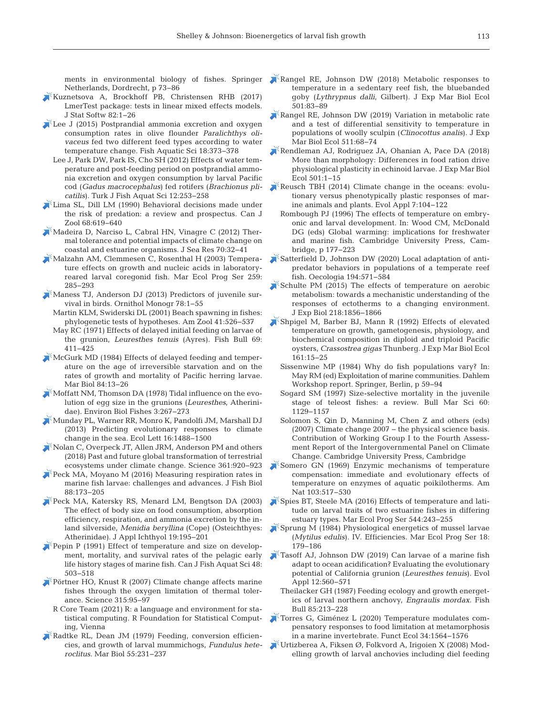ments in environmental biology of fishes. Springer Netherlands, Dordrecht, p 73−86

- [Kuznetsova A, Brockhoff PB, Christensen RHB \(2017\)](https://doi.org/10.18637/jss.v082.i13)  LmerTest package: tests in linear mixed effects models. J Stat Softw 82: 1−26
- Lee J (2015) Postprandial ammonia excretion and oxygen consumption rates in olive flounder *Paralichthys olivaceus* fed two different feed types according to water temperature change. Fish Aquatic Sci 18: 373−378
	- Lee J, Park DW, Park IS, Cho SH (2012) Effects of water temperature and post-feeding period on postprandial ammonia excretion and oxygen consumption by larval Pacific cod (*Gadus macrocephalus*) fed rotifers (*Brachionus plicatilis*). Turk J Fish Aquat Sci 12: 253−258
- [Lima SL, Dill LM \(1990\) Behavioral decisions made under](https://doi.org/10.1139/z90-092)  the risk of predation: a review and prospectus. Can J Zool 68: 619−640
- [Madeira D, Narciso L, Cabral HN, Vinagre C \(2012\) Ther](https://doi.org/10.1016/j.seares.2012.03.002)mal tolerance and potential impacts of climate change on coastal and estuarine organisms. J Sea Res 70:32−41
- [Malzahn AM, Clemmesen C, Rosenthal H \(2003\) Tempera](https://doi.org/10.3354/meps259285)ture effects on growth and nucleic acids in laboratoryreared larval coregonid fish. Mar Ecol Prog Ser 259: 285−293
- [Maness TJ, Anderson DJ \(2013\) Predictors of juvenile sur](https://doi.org/10.1525/om.2013.78.1.1)vival in birds. Ornithol Monogr 78: 1−55
	- Martin KLM, Swiderski DL (2001) Beach spawning in fishes: phylogenetic tests of hypotheses. Am Zool 41:526-537
	- May RC (1971) Effects of delayed initial feeding on larvae of the grunion, *Leuresthes tenuis* (Ayres). Fish Bull 69: 411−425
- [McGurk MD \(1984\) Effects of delayed feeding and temper](https://doi.org/10.1007/BF00394522)ature on the age of irreversible starvation and on the rates of growth and mortality of Pacific herring larvae. Mar Biol 84:13–26
- [Moffatt NM, Thomson DA \(1978\) Tidal influence on the evo](https://doi.org/10.1007/BF00001452)lution of egg size in the grunions (*Leuresthes*, Atherinidae). Environ Biol Fishes 3: 267−273
- [Munday PL, Warner RR, Monro K, Pandolfi JM, Marshall DJ](https://doi.org/10.1111/ele.12185)  (2013) Predicting evolutionary responses to climate change in the sea. Ecol Lett 16: 1488−1500
- [Nolan C, Overpeck JT, Allen JRM, Anderson PM and others](https://doi.org/10.1126/science.aan5360)  (2018) Past and future global transformation of terrestrial ecosystems under climate change. Science 361:920–923
- $\blacktriangleright$  Peck MA, Moyano M (2016) Measuring respiration rates in marine fish larvae: challenges and advances. J Fish Biol 88: 173−205
- [Peck MA, Katersky RS, Menard LM, Bengtson DA \(2003\)](https://doi.org/10.1046/j.1439-0426.2003.00476.x)  The effect of body size on food consumption, absorption efficiency, respiration, and ammonia excretion by the in land silverside, *Menidia beryllina* (Cope) (Osteichthyes: Atherinidae). J Appl Ichthyol 19: 195−201
- $\blacktriangleright$  [Pepin P \(1991\) Effect of temperature and size on develop](https://doi.org/10.1139/f91-065)ment, mortality, and survival rates of the pelagic early life history stages of marine fish. Can J Fish Aquat Sci 48: 503−518
- [Pörtner HO, Knust R \(2007\) Climate change affects marine](https://doi.org/10.1126/science.1135471)  fishes through the oxygen limitation of thermal tolerance. Science 315: 95−97
	- R Core Team (2021) R: a language and environment for statistical computing. R Foundation for Statistical Computing, Vienna
- [Radtke RL, Dean JM \(1979\) Feeding, conversion efficien](https://doi.org/10.1007/BF00396823)cies, and growth of larval mummichogs, *Fundulus heteroclitus.* Mar Biol 55: 231−237
- [Rangel RE, Johnson DW \(2018\) Metabolic responses to](https://doi.org/10.1016/j.jembe.2018.01.011)  temperature in a sedentary reef fish, the bluebanded goby (*Lythrypnus dalli*, Gilbert). J Exp Mar Biol Ecol 501: 83−89
- [Rangel RE, Johnson DW \(2019\) Variation in metabolic rate](https://doi.org/10.1016/j.jembe.2018.11.007)  and a test of differential sensitivity to temperature in populations of woolly sculpin (*Clinocottus analis*). J Exp Mar Biol Ecol 511:68-74
- [Rendleman AJ, Rodriguez JA, Ohanian A, Pace DA \(2018\)](https://doi.org/10.1016/j.jembe.2017.12.018)  More than morphology: Differences in food ration drive physiological plasticity in echinoid larvae. J Exp Mar Biol Ecol 501: 1−15
- Reusch TBH (2014) Climate change in the oceans: evolutionary versus phenotypically plastic responses of marine animals and plants. Evol Appl 7: 104−122
	- Rombough PJ (1996) The effects of temperature on embryonic and larval development. In: Wood CM, McDonald DG (eds) Global warming: implications for freshwater and marine fish. Cambridge University Press, Cambridge, p 177−223
- Satterfield D, Johnson DW (2020) Local adaptation of antipredator behaviors in populations of a temperate reef fish. Oecologia 194: 571−584
- Schulte PM (2015) The effects of temperature on aerobic metabolism: towards a mechanistic understanding of the responses of ectotherms to a changing environment. J Exp Biol 218: 1856−1866
- [Shpigel M, Barber BJ, Mann R \(1992\) Effects of elevated](https://doi.org/10.1016/0022-0981(92)90186-E)  temperature on growth, gametogenesis, physiology, and biochemical composition in diploid and triploid Pacific oysters, *Crassostrea gigas* Thunberg. J Exp Mar Biol Ecol 161: 15−25
	- Sissenwine MP (1984) Why do fish populations vary? In: May RM (ed) Exploitation of marine communities. Dahlem Workshop report. Springer, Berlin, p 59−94
	- Sogard SM (1997) Size-selective mortality in the juvenile stage of teleost fishes: a review. Bull Mar Sci 60: 1129−1157
	- Solomon S, Qin D, Manning M, Chen Z and others (eds) (2007) Climate change 2007 – the physical science basis. Contribution of Working Group I to the Fourth Assessment Report of the Intergovernmental Panel on Climate Change. Cambridge University Press, Cambridge
- [Somero GN \(1969\) Enzymic mechanisms of temperature](https://doi.org/10.1086/282618)  compensation: immediate and evolutionary effects of temperature on enzymes of aquatic poikilotherms. Am Nat 103:517-530
- [Spies BT, Steele MA \(2016\) Effects of temperature and lati](https://doi.org/10.3354/meps11552)tude on larval traits of two estuarine fishes in differing estuary types. Mar Ecol Prog Ser 544:243-255
- [Sprung M \(1984\) Physiological energetics of mussel larvae](https://doi.org/10.3354/meps018179)  (*Mytilus edulis*). IV. Efficiencies. Mar Ecol Prog Ser 18: 179−186
- [Tasoff AJ, Johnson DW \(2019\) Can larvae of a marine fish](https://doi.org/10.1111/eva.12739)  adapt to ocean acidification? Evaluating the evolutionary potential of California grunion (*Leuresthes tenuis*). Evol Appl 12:560-571
	- Theilacker GH (1987) Feeding ecology and growth energetics of larval northern anchovy, *Engraulis mordax.* Fish Bull 85: 213−228
- [Torres G, Giménez L \(2020\) Temperature modulates com](https://doi.org/10.1111/1365-2435.13607)pensatory responses to food limitation at metamorphosis in a marine invertebrate. Funct Ecol 34: 1564−1576
- [Urtizberea A, Fiksen Ø, Folkvord A, Irigoien X \(2008\) Mod](https://doi.org/10.1093/plankt/fbn090)elling growth of larval anchovies including diel feeding